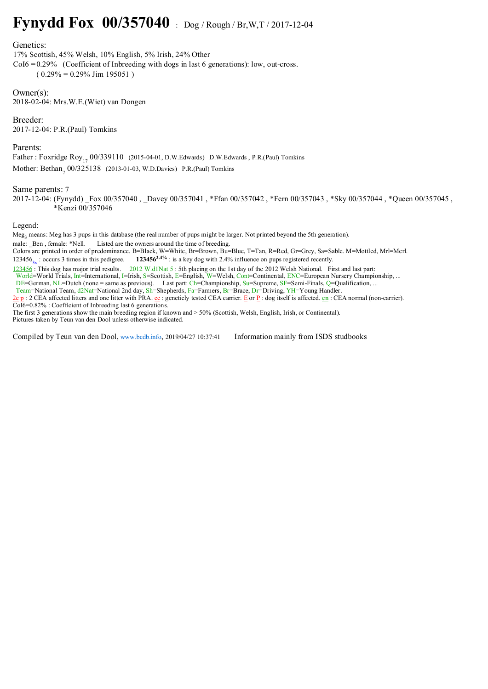## **Fynydd Fox 00/357040** : Dog / Rough / Br,W,T / 2017-12-04

## Genetics:

17% Scottish, 45% Welsh, 10% English, 5% Irish, 24% Other  $CoI6 = 0.29\%$  (Coefficient of Inbreeding with dogs in last 6 generations): low, out-cross.  $(0.29\% = 0.29\%$  Jim 195051)

Owner(s): 2018-02-04: Mrs.W.E.(Wiet) van Dongen

Breeder: 2017-12-04: P.R.(Paul) Tomkins

Parents:

Father : Foxridge Roy<sub>17</sub> 00/339110 (2015-04-01, D.W.Edwards) D.W.Edwards, P.R.(Paul) Tomkins Mother: Bethan<sub>7</sub> 00/325138 (2013-01-03, W.D.Davies) P.R.(Paul) Tomkins

## Same parents: 7

2017-12-04: (Fynydd) Fox 00/357040 , Davey 00/357041 , \*Ffan 00/357042 , \*Fern 00/357043 , \*Sky 00/357044 , \*Queen 00/357045 , \*Kenzi 00/357046

Legend:

Meg<sub>3</sub> means: Meg has 3 pups in this database (the real number of pups might be larger. Not printed beyond the 5th generation).

male: Ben, female: \*Nell. Listed are the owners around the time of breeding.

Colors are printed in order of predominance. B=Black, W=White, Br=Brown, Bu=Blue, T=Tan, R=Red, Gr=Grey, Sa=Sable. M=Mottled, Mrl=Merl. 123456<sub>3x</sub>: occurs 3 times in this pedigree. **123456<sup>2.4%</sup>** : is a key dog with 2.4% influence on pups registered recently.

123456 : This dog has major trial results. 2012 W.d1Nat 5 : 5th placing on the 1st day of the 2012 Welsh National. First and last part: World=World Trials, Int=International, I=Irish, S=Scottish, E=English, W=Welsh, Cont=Continental, ENC=European Nursery Championship, ...  $DE=G$ erman, NL=Dutch (none = same as previous). Last part: Ch=Championship,  $Su=Sup$ reme, SF=Semi-Finals, Q=Qualification, ...

Team=National Team, d2Nat=National 2nd day, Sh=Shepherds, Fa=Farmers, Br=Brace, Dr=Driving, YH=Young Handler.

 $2e p$ : 2 CEA affected litters and one litter with PRA.  $ec$ : geneticly tested CEA carrier. E or P : dog itself is affected.  $en$ : CEA normal (non-carrier). CoI6=0.82% : Coefficient of Inbreeding last 6 generations.

The first 3 generations show the main breeding region if known and > 50% (Scottish, Welsh, English, Irish, or Continental). Pictures taken by Teun van den Dool unless otherwise indicated.

Compiled by Teun van den Dool, www.bcdb.info, 2019/04/27 10:37:41 Information mainly from ISDS studbooks